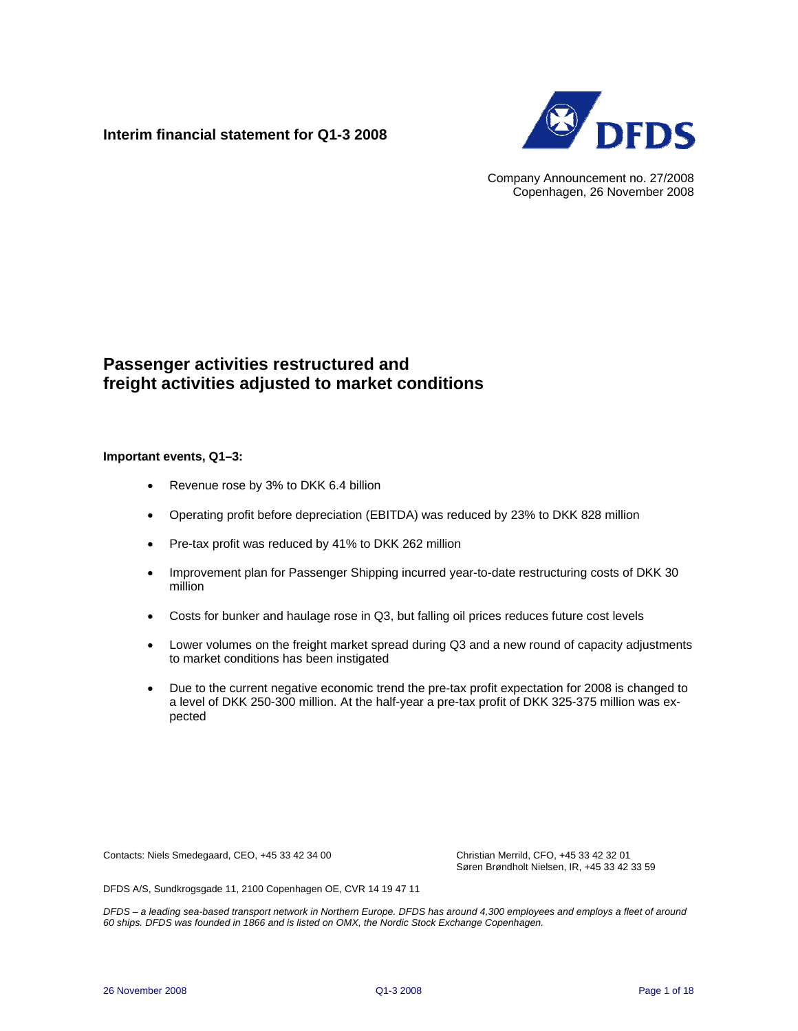## **Interim financial statement for Q1-3 2008**



Company Announcement no. 27/2008 Copenhagen, 26 November 2008

# **Passenger activities restructured and freight activities adjusted to market conditions**

#### **Important events, Q1–3:**

- Revenue rose by 3% to DKK 6.4 billion
- Operating profit before depreciation (EBITDA) was reduced by 23% to DKK 828 million
- Pre-tax profit was reduced by 41% to DKK 262 million
- Improvement plan for Passenger Shipping incurred year-to-date restructuring costs of DKK 30 million
- Costs for bunker and haulage rose in Q3, but falling oil prices reduces future cost levels
- Lower volumes on the freight market spread during Q3 and a new round of capacity adjustments to market conditions has been instigated
- Due to the current negative economic trend the pre-tax profit expectation for 2008 is changed to a level of DKK 250-300 million. At the half-year a pre-tax profit of DKK 325-375 million was expected

Contacts: Niels Smedegaard, CEO, +45 33 42 34 00 Christian Merrild, CFO, +45 33 42 32 01

Søren Brøndholt Nielsen, IR, +45 33 42 33 59

DFDS A/S, Sundkrogsgade 11, 2100 Copenhagen OE, CVR 14 19 47 11

*DFDS – a leading sea-based transport network in Northern Europe. DFDS has around 4,300 employees and employs a fleet of around 60 ships. DFDS was founded in 1866 and is listed on OMX, the Nordic Stock Exchange Copenhagen.*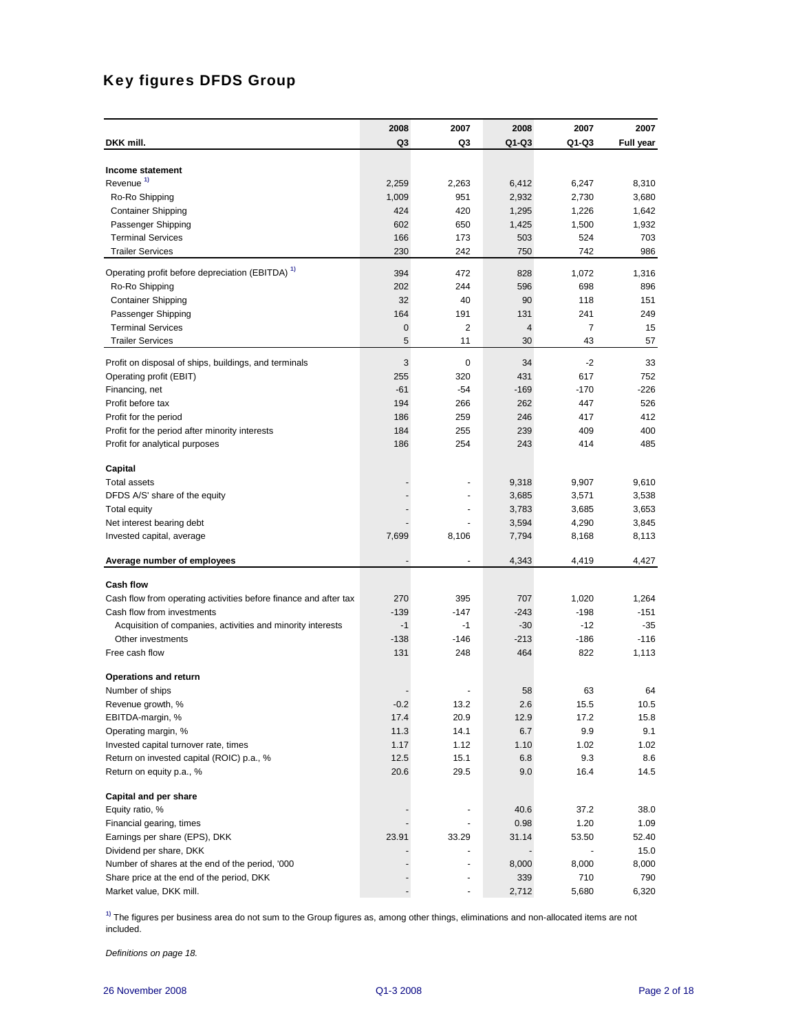# Key figures DFDS Group

|                                                                      | 2008   | 2007           | 2008    | 2007         | 2007         |
|----------------------------------------------------------------------|--------|----------------|---------|--------------|--------------|
| DKK mill.                                                            | Q3     | Q3             | $Q1-Q3$ | Q1-Q3        | Full year    |
|                                                                      |        |                |         |              |              |
| Income statement                                                     |        |                |         |              |              |
| Revenue <sup>1)</sup>                                                | 2,259  | 2,263          | 6,412   | 6,247        | 8,310        |
| Ro-Ro Shipping                                                       | 1,009  | 951            | 2,932   | 2,730        | 3,680        |
| <b>Container Shipping</b>                                            | 424    | 420            | 1,295   | 1,226        | 1,642        |
| Passenger Shipping                                                   | 602    | 650            | 1,425   | 1,500        | 1,932        |
| <b>Terminal Services</b>                                             | 166    | 173            | 503     | 524          | 703          |
| <b>Trailer Services</b>                                              | 230    | 242            | 750     | 742          | 986          |
| Operating profit before depreciation (EBITDA) <sup>1)</sup>          | 394    | 472            | 828     | 1,072        | 1,316        |
| Ro-Ro Shipping                                                       | 202    | 244            | 596     | 698          | 896          |
| <b>Container Shipping</b>                                            | 32     | 40             | 90      | 118          | 151          |
| Passenger Shipping                                                   | 164    | 191            | 131     | 241          | 249          |
| <b>Terminal Services</b>                                             | 0      | $\overline{2}$ | 4       | 7            | 15           |
| <b>Trailer Services</b>                                              | 5      | 11             | 30      | 43           | 57           |
| Profit on disposal of ships, buildings, and terminals                | 3      | 0              | 34      | $-2$         | 33           |
| Operating profit (EBIT)                                              | 255    | 320            | 431     | 617          | 752          |
| Financing, net                                                       | $-61$  | $-54$          | $-169$  | -170         | -226         |
| Profit before tax                                                    | 194    | 266            | 262     | 447          | 526          |
| Profit for the period                                                | 186    | 259            | 246     | 417          | 412          |
| Profit for the period after minority interests                       | 184    | 255            | 239     | 409          | 400          |
| Profit for analytical purposes                                       | 186    | 254            | 243     | 414          | 485          |
|                                                                      |        |                |         |              |              |
| Capital                                                              |        |                |         |              |              |
| <b>Total assets</b>                                                  |        |                | 9,318   | 9,907        | 9,610        |
| DFDS A/S' share of the equity                                        |        |                | 3,685   | 3,571        | 3,538        |
| <b>Total equity</b>                                                  |        | ۰              | 3,783   | 3,685        | 3,653        |
| Net interest bearing debt                                            |        |                | 3,594   | 4,290        | 3,845        |
| Invested capital, average                                            | 7,699  | 8,106          | 7,794   | 8,168        | 8,113        |
| Average number of employees                                          |        |                | 4,343   | 4,419        | 4,427        |
|                                                                      |        |                |         |              |              |
| <b>Cash flow</b>                                                     |        |                |         |              |              |
| Cash flow from operating activities before finance and after tax     | 270    | 395            | 707     | 1,020        | 1,264        |
| Cash flow from investments                                           | $-139$ | $-147$         | $-243$  | $-198$       | $-151$       |
| Acquisition of companies, activities and minority interests          | $-1$   | $-1$           | $-30$   | $-12$        | $-35$        |
| Other investments                                                    | $-138$ | $-146$         | $-213$  | -186         | $-116$       |
| Free cash flow                                                       | 131    | 248            | 464     | 822          | 1,113        |
| <b>Operations and return</b>                                         |        |                |         |              |              |
| Number of ships                                                      |        |                | 58      | 63           | 64           |
| Revenue growth, %                                                    | $-0.2$ | 13.2           | 2.6     | 15.5         | 10.5         |
| EBITDA-margin, %                                                     | 17.4   | 20.9           | 12.9    | 17.2         | 15.8         |
| Operating margin, %                                                  | 11.3   | 14.1           | 6.7     | 9.9          | 9.1          |
| Invested capital turnover rate, times                                | 1.17   | 1.12           | 1.10    | 1.02         | 1.02         |
| Return on invested capital (ROIC) p.a., %                            | 12.5   | 15.1           | 6.8     | 9.3          | 8.6          |
| Return on equity p.a., %                                             | 20.6   | 29.5           | 9.0     | 16.4         | 14.5         |
|                                                                      |        |                |         |              |              |
| Capital and per share<br>Equity ratio, %                             |        |                | 40.6    | 37.2         | 38.0         |
|                                                                      |        |                | 0.98    |              | 1.09         |
| Financial gearing, times                                             |        |                |         | 1.20         |              |
| Earnings per share (EPS), DKK                                        | 23.91  | 33.29          | 31.14   | 53.50        | 52.40        |
| Dividend per share, DKK                                              |        |                |         |              | 15.0         |
| Number of shares at the end of the period, '000                      |        |                | 8,000   | 8,000<br>710 | 8,000<br>790 |
| Share price at the end of the period, DKK<br>Market value, DKK mill. |        |                | 339     |              |              |
|                                                                      |        |                | 2,712   | 5,680        | 6,320        |

**1)** The figures per business area do not sum to the Group figures as, among other things, eliminations and non-allocated items are not included.

*Definitions on page 18.*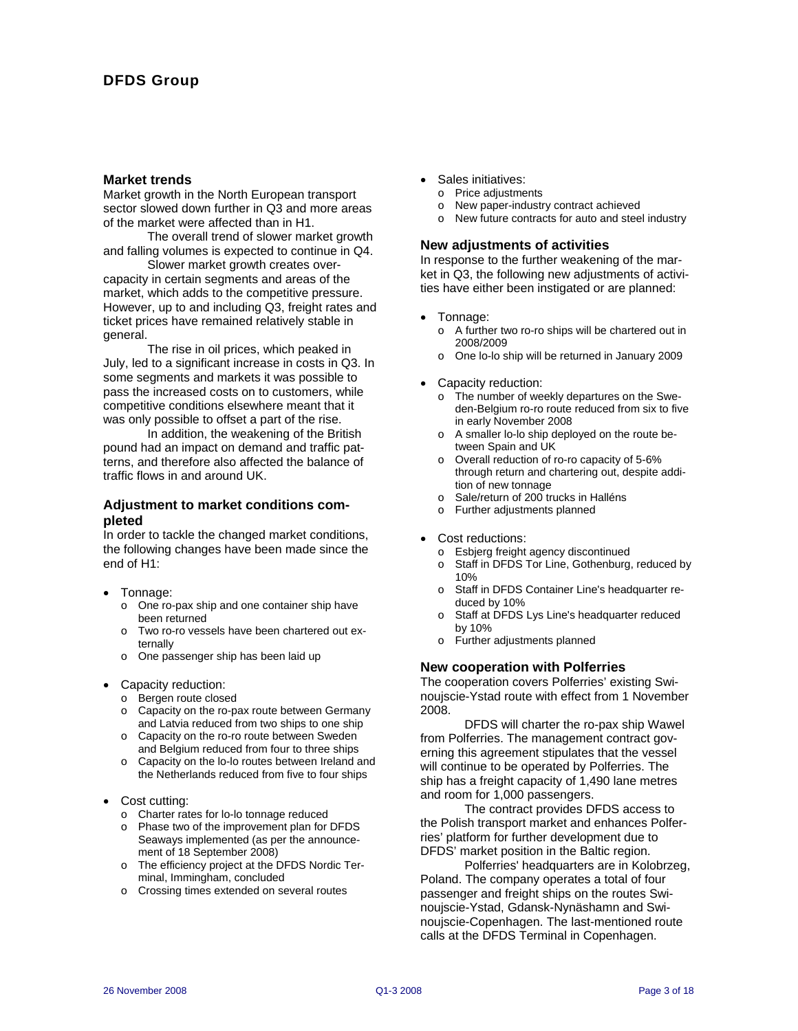#### **Market trends**

Market growth in the North European transport sector slowed down further in Q3 and more areas of the market were affected than in H1.

The overall trend of slower market growth and falling volumes is expected to continue in Q4.

Slower market growth creates overcapacity in certain segments and areas of the market, which adds to the competitive pressure. However, up to and including Q3, freight rates and ticket prices have remained relatively stable in general.

The rise in oil prices, which peaked in July, led to a significant increase in costs in Q3. In some segments and markets it was possible to pass the increased costs on to customers, while competitive conditions elsewhere meant that it was only possible to offset a part of the rise.

In addition, the weakening of the British pound had an impact on demand and traffic patterns, and therefore also affected the balance of traffic flows in and around UK.

## **Adjustment to market conditions completed**

In order to tackle the changed market conditions, the following changes have been made since the end of H1:

- Tonnage:
	- o One ro-pax ship and one container ship have been returned
	- o Two ro-ro vessels have been chartered out externally
	- o One passenger ship has been laid up
- Capacity reduction:
	- o Bergen route closed
	- o Capacity on the ro-pax route between Germany and Latvia reduced from two ships to one ship
	- o Capacity on the ro-ro route between Sweden and Belgium reduced from four to three ships
	- o Capacity on the lo-lo routes between Ireland and the Netherlands reduced from five to four ships
- Cost cutting:
	- o Charter rates for lo-lo tonnage reduced
	- o Phase two of the improvement plan for DFDS Seaways implemented (as per the announcement of 18 September 2008)
	- o The efficiency project at the DFDS Nordic Terminal, Immingham, concluded
	- o Crossing times extended on several routes
- Sales initiatives:
	- o Price adjustments
	- o New paper-industry contract achieved
	- o New future contracts for auto and steel industry

#### **New adjustments of activities**

In response to the further weakening of the market in Q3, the following new adjustments of activities have either been instigated or are planned:

- Tonnage:
	- o A further two ro-ro ships will be chartered out in 2008/2009
	- o One lo-lo ship will be returned in January 2009
- Capacity reduction:
	- o The number of weekly departures on the Sweden-Belgium ro-ro route reduced from six to five in early November 2008
	- o A smaller lo-lo ship deployed on the route between Spain and UK
	- o Overall reduction of ro-ro capacity of 5-6% through return and chartering out, despite addition of new tonnage
	- o Sale/return of 200 trucks in Halléns
	- o Further adjustments planned
- Cost reductions:
	- o Esbjerg freight agency discontinued
	- o Staff in DFDS Tor Line, Gothenburg, reduced by 10%
	- o Staff in DFDS Container Line's headquarter reduced by 10%
	- o Staff at DFDS Lys Line's headquarter reduced by 10%
	- o Further adjustments planned

#### **New cooperation with Polferries**

The cooperation covers Polferries' existing Swinoujscie-Ystad route with effect from 1 November 2008.

DFDS will charter the ro-pax ship Wawel from Polferries. The management contract governing this agreement stipulates that the vessel will continue to be operated by Polferries. The ship has a freight capacity of 1,490 lane metres and room for 1,000 passengers.

The contract provides DFDS access to the Polish transport market and enhances Polferries' platform for further development due to DFDS' market position in the Baltic region.

Polferries' headquarters are in Kolobrzeg, Poland. The company operates a total of four passenger and freight ships on the routes Swinoujscie-Ystad, Gdansk-Nynäshamn and Swinoujscie-Copenhagen. The last-mentioned route calls at the DFDS Terminal in Copenhagen.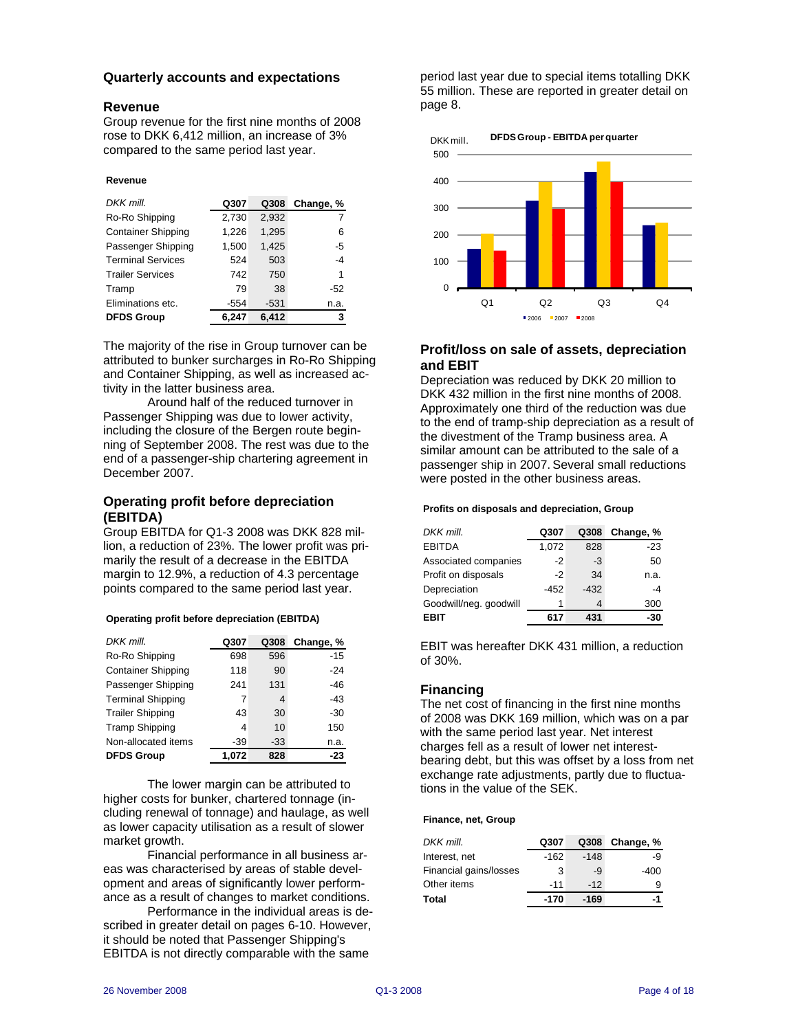#### **Quarterly accounts and expectations**

#### **Revenue**

Group revenue for the first nine months of 2008 rose to DKK 6,412 million, an increase of 3% compared to the same period last year.

#### **Revenue**

| DKK mill.                 | Q307  | Q308   | Change, % |
|---------------------------|-------|--------|-----------|
| Ro-Ro Shipping            | 2,730 | 2,932  |           |
| <b>Container Shipping</b> | 1,226 | 1,295  | 6         |
| Passenger Shipping        | 1,500 | 1,425  | -5        |
| <b>Terminal Services</b>  | 524   | 503    | -4        |
| <b>Trailer Services</b>   | 742   | 750    | 1         |
| Tramp                     | 79    | 38     | -52       |
| Eliminations etc.         | -554  | $-531$ | n.a.      |
| <b>DFDS Group</b>         | 6.247 | 6.412  | 3         |

The majority of the rise in Group turnover can be attributed to bunker surcharges in Ro-Ro Shipping and Container Shipping, as well as increased activity in the latter business area.

Around half of the reduced turnover in Passenger Shipping was due to lower activity, including the closure of the Bergen route beginning of September 2008. The rest was due to the end of a passenger-ship chartering agreement in December 2007.

## **Operating profit before depreciation (EBITDA)**

Group EBITDA for Q1-3 2008 was DKK 828 million, a reduction of 23%. The lower profit was primarily the result of a decrease in the EBITDA margin to 12.9%, a reduction of 4.3 percentage points compared to the same period last year.

| <b>Operating profit before depreciation (EBITDA)</b> |  |  |  |
|------------------------------------------------------|--|--|--|
|                                                      |  |  |  |

| DKK mill.                 | Q307  | Q308  | Change, % |
|---------------------------|-------|-------|-----------|
| Ro-Ro Shipping            | 698   | 596   | $-15$     |
| <b>Container Shipping</b> | 118   | 90    | $-24$     |
| Passenger Shipping        | 241   | 131   | $-46$     |
| <b>Terminal Shipping</b>  | 7     | 4     | $-43$     |
| <b>Trailer Shipping</b>   | 43    | 30    | $-30$     |
| <b>Tramp Shipping</b>     | 4     | 10    | 150       |
| Non-allocated items       | -39   | $-33$ | n.a.      |
| <b>DFDS Group</b>         | 1.072 | 828   | -23       |

The lower margin can be attributed to higher costs for bunker, chartered tonnage (including renewal of tonnage) and haulage, as well as lower capacity utilisation as a result of slower market growth.

Financial performance in all business areas was characterised by areas of stable development and areas of significantly lower performance as a result of changes to market conditions.

Performance in the individual areas is described in greater detail on pages 6-10. However, it should be noted that Passenger Shipping's EBITDA is not directly comparable with the same

period last year due to special items totalling DKK 55 million. These are reported in greater detail on page 8.



## **Profit/loss on sale of assets, depreciation and EBIT**

Depreciation was reduced by DKK 20 million to DKK 432 million in the first nine months of 2008. Approximately one third of the reduction was due to the end of tramp-ship depreciation as a result of the divestment of the Tramp business area. A similar amount can be attributed to the sale of a passenger ship in 2007. Several small reductions were posted in the other business areas.

#### **Profits on disposals and depreciation, Group**

| DKK mill.              | Q307   | Q308   | Change, % |
|------------------------|--------|--------|-----------|
| <b>EBITDA</b>          | 1,072  | 828    | $-23$     |
| Associated companies   | $-2$   | -3     | 50        |
| Profit on disposals    | $-2$   | 34     | n.a.      |
| Depreciation           | $-452$ | $-432$ | $-4$      |
| Goodwill/neg. goodwill | 1      |        | 300       |
| EBIT                   | 617    | 431    | -30       |

EBIT was hereafter DKK 431 million, a reduction of 30%.

## **Financing**

The net cost of financing in the first nine months of 2008 was DKK 169 million, which was on a par with the same period last year. Net interest charges fell as a result of lower net interestbearing debt, but this was offset by a loss from net exchange rate adjustments, partly due to fluctuations in the value of the SEK.

#### **Finance, net, Group**

| DKK mill.              | Q307   |        | Q308 Change, % |
|------------------------|--------|--------|----------------|
| Interest, net          | $-162$ | $-148$ | -9             |
| Financial gains/losses | 3      | -9     | -400           |
| Other items            | $-11$  | $-12$  |                |
| Total                  | -170   | -169   | -1             |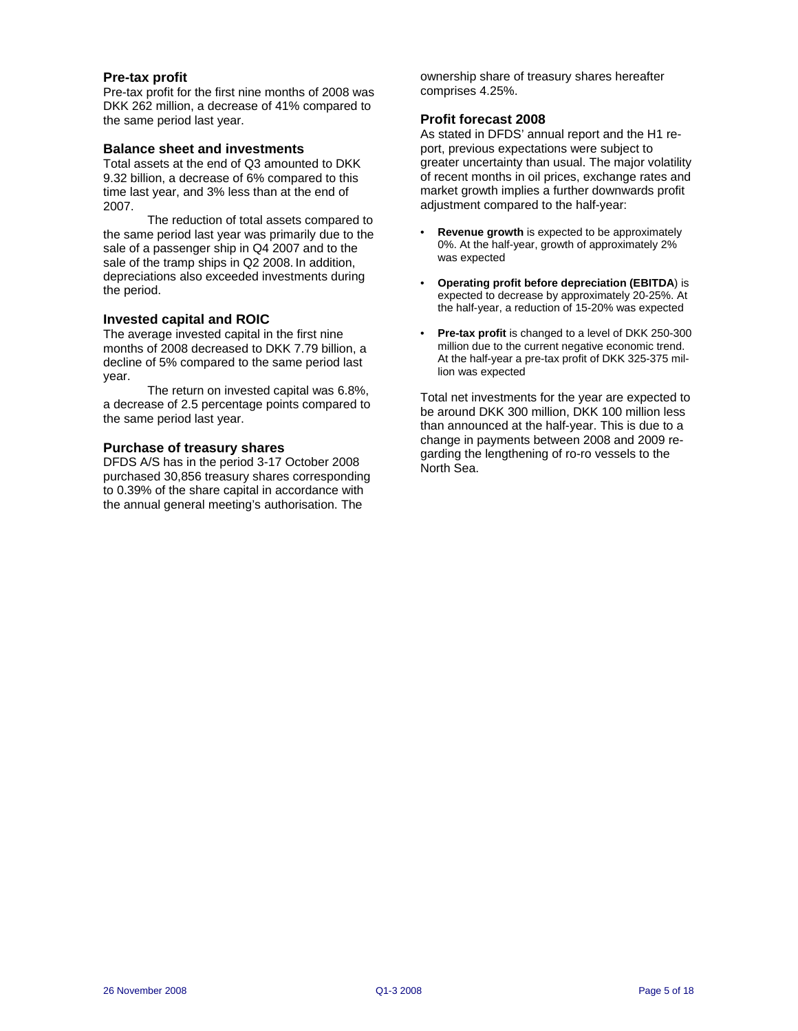#### **Pre-tax profit**

Pre-tax profit for the first nine months of 2008 was DKK 262 million, a decrease of 41% compared to the same period last year.

#### **Balance sheet and investments**

Total assets at the end of Q3 amounted to DKK 9.32 billion, a decrease of 6% compared to this time last year, and 3% less than at the end of 2007.

The reduction of total assets compared to the same period last year was primarily due to the sale of a passenger ship in Q4 2007 and to the sale of the tramp ships in Q2 2008. In addition, depreciations also exceeded investments during the period.

## **Invested capital and ROIC**

The average invested capital in the first nine months of 2008 decreased to DKK 7.79 billion, a decline of 5% compared to the same period last year.

The return on invested capital was 6.8%, a decrease of 2.5 percentage points compared to the same period last year.

#### **Purchase of treasury shares**

DFDS A/S has in the period 3-17 October 2008 purchased 30,856 treasury shares corresponding to 0.39% of the share capital in accordance with the annual general meeting's authorisation. The

ownership share of treasury shares hereafter comprises 4.25%.

## **Profit forecast 2008**

As stated in DFDS' annual report and the H1 report, previous expectations were subject to greater uncertainty than usual. The major volatility of recent months in oil prices, exchange rates and market growth implies a further downwards profit adjustment compared to the half-year:

- **Revenue growth** is expected to be approximately 0%. At the half-year, growth of approximately 2% was expected
- **Operating profit before depreciation (EBITDA**) is expected to decrease by approximately 20-25%. At the half-year, a reduction of 15-20% was expected
- **Pre-tax profit** is changed to a level of DKK 250-300 million due to the current negative economic trend. At the half-year a pre-tax profit of DKK 325-375 million was expected

Total net investments for the year are expected to be around DKK 300 million, DKK 100 million less than announced at the half-year. This is due to a change in payments between 2008 and 2009 regarding the lengthening of ro-ro vessels to the North Sea.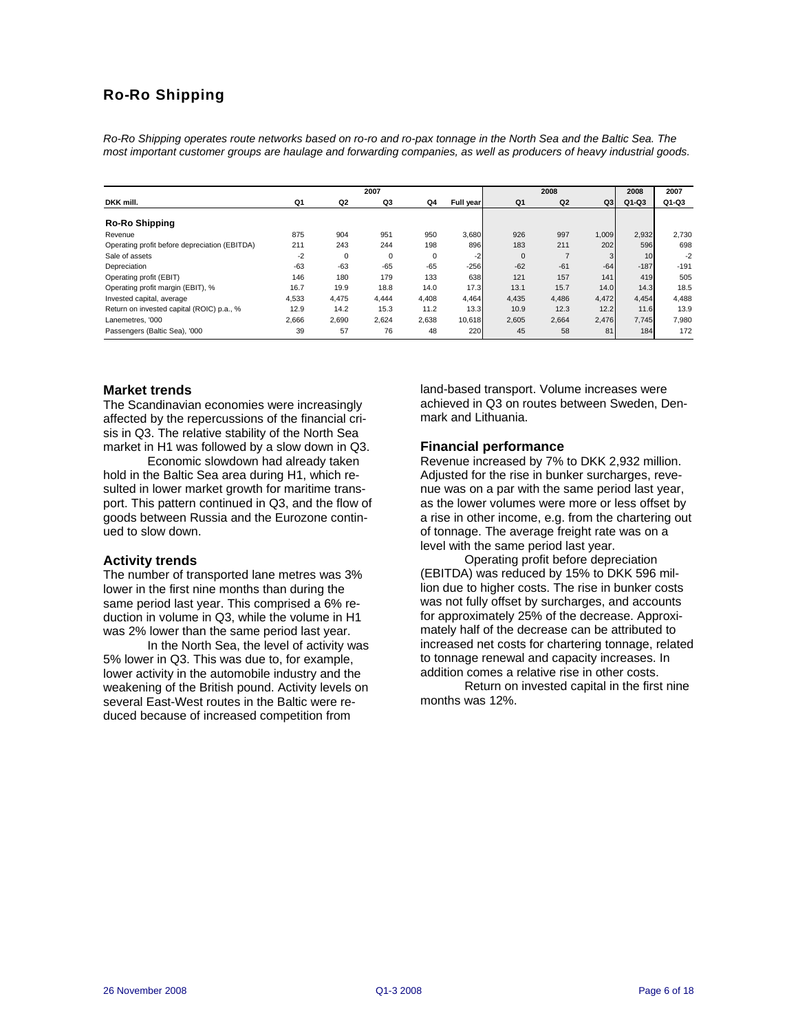# Ro-Ro Shipping

*Ro-Ro Shipping operates route networks based on ro-ro and ro-pax tonnage in the North Sea and the Baltic Sea. The most important customer groups are haulage and forwarding companies, as well as producers of heavy industrial goods.* 

|                                               |       |       | 2007        |       |           |             | 2008           |       | 2008            | 2007   |
|-----------------------------------------------|-------|-------|-------------|-------|-----------|-------------|----------------|-------|-----------------|--------|
| DKK mill.                                     | Q1    | Q2    | Q3          | Q4    | Full year | Q1          | Q <sub>2</sub> | Q3    | $Q1-Q3$         | Q1-Q3  |
|                                               |       |       |             |       |           |             |                |       |                 |        |
| Ro-Ro Shipping                                |       |       |             |       |           |             |                |       |                 |        |
| Revenue                                       | 875   | 904   | 951         | 950   | 3,680     | 926         | 997            | 1,009 | 2,932           | 2,730  |
| Operating profit before depreciation (EBITDA) | 211   | 243   | 244         | 198   | 896       | 183         | 211            | 202   | 596             | 698    |
| Sale of assets                                | $-2$  | 0     | $\mathbf 0$ | 0     | $-2$      | $\mathbf 0$ |                | 3     | 10 <sup>1</sup> | $-2$   |
| Depreciation                                  | $-63$ | $-63$ | $-65$       | $-65$ | $-256$    | $-62$       | $-61$          | $-64$ | $-187$          | $-191$ |
| Operating profit (EBIT)                       | 146   | 180   | 179         | 133   | 638       | 121         | 157            | 141   | 419             | 505    |
| Operating profit margin (EBIT), %             | 16.7  | 19.9  | 18.8        | 14.0  | 17.3      | 13.1        | 15.7           | 14.0  | 14.3            | 18.5   |
| Invested capital, average                     | 4,533 | 4.475 | 4.444       | 4,408 | 4,464     | 4.435       | 4,486          | 4,472 | 4,454           | 4.488  |
| Return on invested capital (ROIC) p.a., %     | 12.9  | 14.2  | 15.3        | 11.2  | 13.3      | 10.9        | 12.3           | 12.2  | 11.6            | 13.9   |
| Lanemetres, '000                              | 2,666 | 2,690 | 2,624       | 2,638 | 10,618    | 2,605       | 2,664          | 2,476 | 7,745           | 7,980  |
| Passengers (Baltic Sea), '000                 | 39    | 57    | 76          | 48    | 220       | 45          | 58             | 81    | 184             | 172    |

#### **Market trends**

The Scandinavian economies were increasingly affected by the repercussions of the financial crisis in Q3. The relative stability of the North Sea market in H1 was followed by a slow down in Q3.

Economic slowdown had already taken hold in the Baltic Sea area during H1, which resulted in lower market growth for maritime transport. This pattern continued in Q3, and the flow of goods between Russia and the Eurozone continued to slow down.

#### **Activity trends**

The number of transported lane metres was 3% lower in the first nine months than during the same period last year. This comprised a 6% reduction in volume in Q3, while the volume in H1 was 2% lower than the same period last year.

In the North Sea, the level of activity was 5% lower in Q3. This was due to, for example, lower activity in the automobile industry and the weakening of the British pound. Activity levels on several East-West routes in the Baltic were reduced because of increased competition from

land-based transport. Volume increases were achieved in Q3 on routes between Sweden, Denmark and Lithuania.

#### **Financial performance**

Revenue increased by 7% to DKK 2,932 million. Adjusted for the rise in bunker surcharges, revenue was on a par with the same period last year, as the lower volumes were more or less offset by a rise in other income, e.g. from the chartering out of tonnage. The average freight rate was on a level with the same period last year.

Operating profit before depreciation (EBITDA) was reduced by 15% to DKK 596 million due to higher costs. The rise in bunker costs was not fully offset by surcharges, and accounts for approximately 25% of the decrease. Approximately half of the decrease can be attributed to increased net costs for chartering tonnage, related to tonnage renewal and capacity increases. In addition comes a relative rise in other costs.

Return on invested capital in the first nine months was 12%.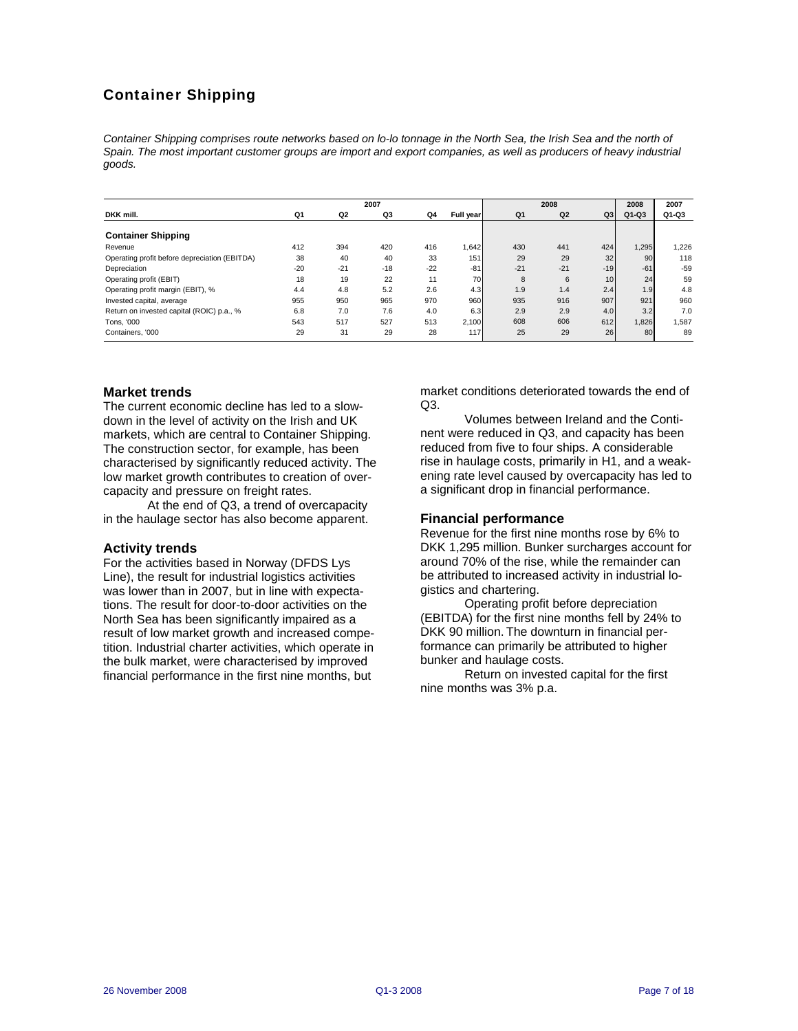# Container Shipping

Container Shipping comprises route networks based on lo-lo tonnage in the North Sea, the Irish Sea and the north of Spain. The most important customer groups are import and export companies, as well as producers of heavy industrial *goods.* 

|                                               |       |       | 2007  |       |           |       | 2008  |                 | 2008    | 2007  |
|-----------------------------------------------|-------|-------|-------|-------|-----------|-------|-------|-----------------|---------|-------|
| DKK mill.                                     | Q1    | Q2    | Q3    | Q4    | Full year | Q1    | Q2    | Q3              | $Q1-Q3$ | Q1-Q3 |
|                                               |       |       |       |       |           |       |       |                 |         |       |
| <b>Container Shipping</b>                     |       |       |       |       |           |       |       |                 |         |       |
| Revenue                                       | 412   | 394   | 420   | 416   | 1,642     | 430   | 441   | 424             | 1,295   | 1,226 |
| Operating profit before depreciation (EBITDA) | 38    | 40    | 40    | 33    | 151       | 29    | 29    | 32              | 90      | 118   |
| Depreciation                                  | $-20$ | $-21$ | $-18$ | $-22$ | $-81$     | $-21$ | $-21$ | $-19$           | $-61$   | $-59$ |
| Operating profit (EBIT)                       | 18    | 19    | 22    | 11    | 70        | 8     | 6     | 10 <sup>1</sup> | 24      | 59    |
| Operating profit margin (EBIT), %             | 4.4   | 4.8   | 5.2   | 2.6   | 4.3       | 1.9   | 1.4   | 2.4             | 1.9     | 4.8   |
| Invested capital, average                     | 955   | 950   | 965   | 970   | 960       | 935   | 916   | 907             | 921     | 960   |
| Return on invested capital (ROIC) p.a., %     | 6.8   | 7.0   | 7.6   | 4.0   | 6.3       | 2.9   | 2.9   | 4.0             | 3.2     | 7.0   |
| Tons, '000                                    | 543   | 517   | 527   | 513   | 2,100     | 608   | 606   | 612             | 1,826   | 1,587 |
| Containers, '000                              | 29    | 31    | 29    | 28    | 117       | 25    | 29    | 26              | 80      | 89    |

#### **Market trends**

The current economic decline has led to a slowdown in the level of activity on the Irish and UK markets, which are central to Container Shipping. The construction sector, for example, has been characterised by significantly reduced activity. The low market growth contributes to creation of overcapacity and pressure on freight rates.

At the end of Q3, a trend of overcapacity in the haulage sector has also become apparent.

#### **Activity trends**

For the activities based in Norway (DFDS Lys Line), the result for industrial logistics activities was lower than in 2007, but in line with expectations. The result for door-to-door activities on the North Sea has been significantly impaired as a result of low market growth and increased competition. Industrial charter activities, which operate in the bulk market, were characterised by improved financial performance in the first nine months, but

market conditions deteriorated towards the end of Q3.

Volumes between Ireland and the Continent were reduced in Q3, and capacity has been reduced from five to four ships. A considerable rise in haulage costs, primarily in H1, and a weakening rate level caused by overcapacity has led to a significant drop in financial performance.

#### **Financial performance**

Revenue for the first nine months rose by 6% to DKK 1,295 million. Bunker surcharges account for around 70% of the rise, while the remainder can be attributed to increased activity in industrial logistics and chartering.

Operating profit before depreciation (EBITDA) for the first nine months fell by 24% to DKK 90 million. The downturn in financial performance can primarily be attributed to higher bunker and haulage costs.

Return on invested capital for the first nine months was 3% p.a.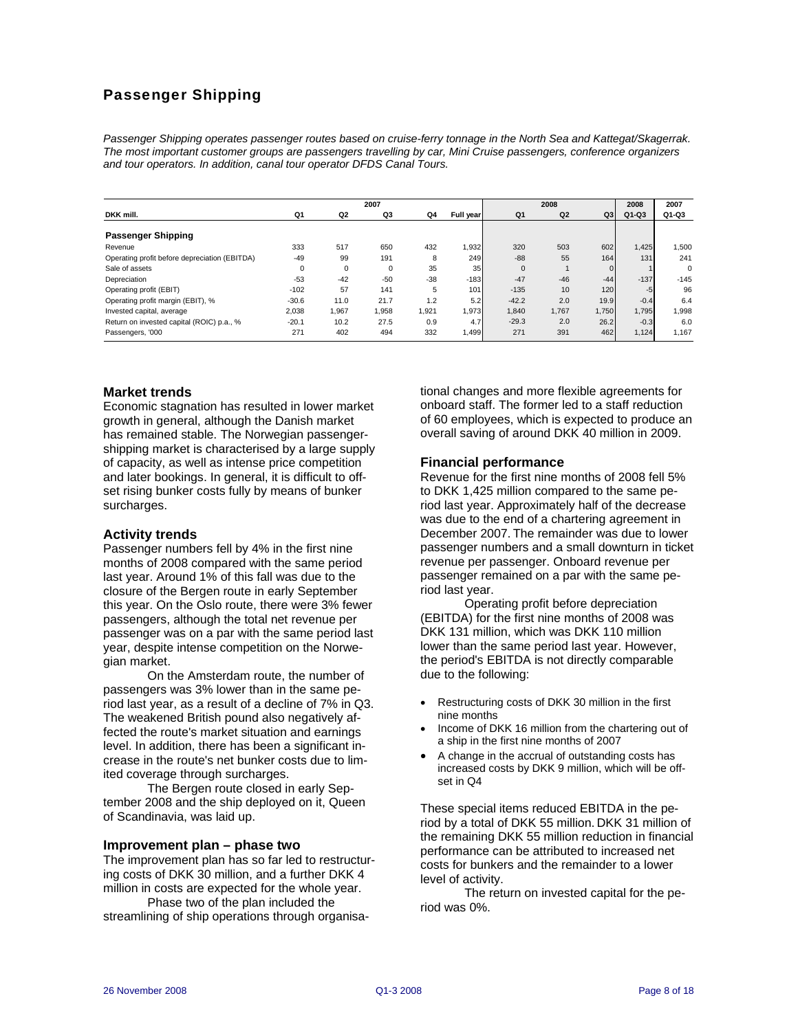# Passenger Shipping

*Passenger Shipping operates passenger routes based on cruise-ferry tonnage in the North Sea and Kattegat/Skagerrak. The most important customer groups are passengers travelling by car, Mini Cruise passengers, conference organizers and tour operators. In addition, canal tour operator DFDS Canal Tours.* 

|                                               |          |             | 2007        |       |           |             | 2008           |          | 2008   | 2007     |
|-----------------------------------------------|----------|-------------|-------------|-------|-----------|-------------|----------------|----------|--------|----------|
| DKK mill.                                     | Q1       | Q2          | Q3          | Q4    | Full year | Q1          | Q <sub>2</sub> | Q3       | Q1-Q3  | Q1-Q3    |
| <b>Passenger Shipping</b>                     |          |             |             |       |           |             |                |          |        |          |
| Revenue                                       | 333      | 517         | 650         | 432   | 1,932     | 320         | 503            | 602      | 1,425  | 1,500    |
| Operating profit before depreciation (EBITDA) | $-49$    | 99          | 191         | 8     | 249       | $-88$       | 55             | 164      | 131    | 241      |
| Sale of assets                                | $\Omega$ | $\mathbf 0$ | $\mathbf 0$ | 35    | 35        | $\mathbf 0$ |                | $\Omega$ |        | $\Omega$ |
| Depreciation                                  | $-53$    | $-42$       | $-50$       | $-38$ | $-183$    | $-47$       | $-46$          | $-44$    | $-137$ | $-145$   |
| Operating profit (EBIT)                       | $-102$   | 57          | 141         | 5     | 101       | $-135$      | 10             | 120      | $-5$   | 96       |
| Operating profit margin (EBIT), %             | $-30.6$  | 11.0        | 21.7        | 1.2   | 5.2       | $-42.2$     | 2.0            | 19.9     | $-0.4$ | 6.4      |
| Invested capital, average                     | 2.038    | 1.967       | 1.958       | 1.921 | 1,973     | 1.840       | 1.767          | 1.750    | 1.795  | 1.998    |
| Return on invested capital (ROIC) p.a., %     | $-20.1$  | 10.2        | 27.5        | 0.9   | 4.7       | $-29.3$     | 2.0            | 26.2     | $-0.3$ | 6.0      |
| Passengers, '000                              | 271      | 402         | 494         | 332   | 1,499     | 271         | 391            | 462      | 1,124  | 1.167    |

#### **Market trends**

Economic stagnation has resulted in lower market growth in general, although the Danish market has remained stable. The Norwegian passengershipping market is characterised by a large supply of capacity, as well as intense price competition and later bookings. In general, it is difficult to offset rising bunker costs fully by means of bunker surcharges.

#### **Activity trends**

Passenger numbers fell by 4% in the first nine months of 2008 compared with the same period last year. Around 1% of this fall was due to the closure of the Bergen route in early September this year. On the Oslo route, there were 3% fewer passengers, although the total net revenue per passenger was on a par with the same period last year, despite intense competition on the Norwegian market.

On the Amsterdam route, the number of passengers was 3% lower than in the same period last year, as a result of a decline of 7% in Q3. The weakened British pound also negatively affected the route's market situation and earnings level. In addition, there has been a significant increase in the route's net bunker costs due to limited coverage through surcharges.

The Bergen route closed in early September 2008 and the ship deployed on it, Queen of Scandinavia, was laid up.

#### **Improvement plan – phase two**

The improvement plan has so far led to restructuring costs of DKK 30 million, and a further DKK 4 million in costs are expected for the whole year.

Phase two of the plan included the streamlining of ship operations through organisational changes and more flexible agreements for onboard staff. The former led to a staff reduction of 60 employees, which is expected to produce an overall saving of around DKK 40 million in 2009.

## **Financial performance**

Revenue for the first nine months of 2008 fell 5% to DKK 1,425 million compared to the same period last year. Approximately half of the decrease was due to the end of a chartering agreement in December 2007. The remainder was due to lower passenger numbers and a small downturn in ticket revenue per passenger. Onboard revenue per passenger remained on a par with the same period last year.

Operating profit before depreciation (EBITDA) for the first nine months of 2008 was DKK 131 million, which was DKK 110 million lower than the same period last year. However, the period's EBITDA is not directly comparable due to the following:

- Restructuring costs of DKK 30 million in the first nine months
- Income of DKK 16 million from the chartering out of a ship in the first nine months of 2007
- A change in the accrual of outstanding costs has increased costs by DKK 9 million, which will be offset in Q4

These special items reduced EBITDA in the period by a total of DKK 55 million. DKK 31 million of the remaining DKK 55 million reduction in financial performance can be attributed to increased net costs for bunkers and the remainder to a lower level of activity.

The return on invested capital for the period was 0%.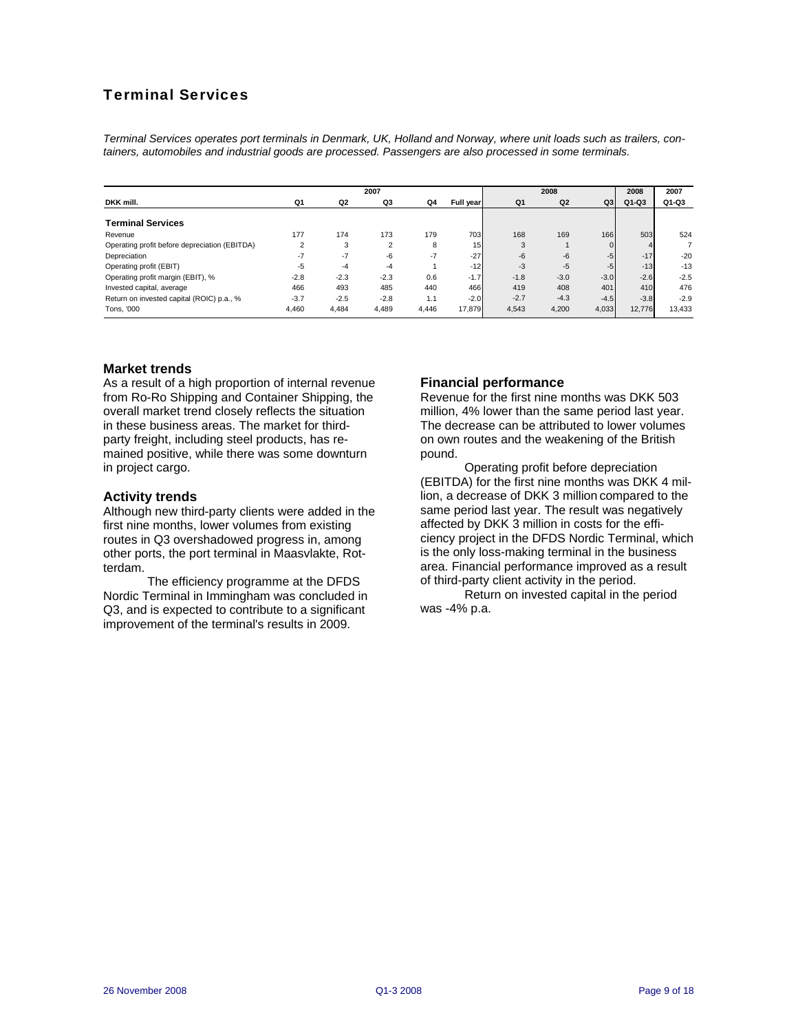# Terminal Services

*Terminal Services operates port terminals in Denmark, UK, Holland and Norway, where unit loads such as trailers, containers, automobiles and industrial goods are processed. Passengers are also processed in some terminals.* 

|                                               | 2007           |                |                |       |           |        | 2008           |              | 2008    | 2007    |
|-----------------------------------------------|----------------|----------------|----------------|-------|-----------|--------|----------------|--------------|---------|---------|
| DKK mill.                                     | Q1             | Q <sub>2</sub> | Q3             | Q4    | Full year | Q1     | Q <sub>2</sub> | Q3           | $Q1-Q3$ | $Q1-Q3$ |
| <b>Terminal Services</b>                      |                |                |                |       |           |        |                |              |         |         |
| Revenue                                       | 177            | 174            | 173            | 179   | 703       | 168    | 169            | 166          | 503     | 524     |
| Operating profit before depreciation (EBITDA) | $\overline{2}$ | 3              | $\overline{2}$ | 8     | 15        | 3      |                | $\mathbf{0}$ |         |         |
| Depreciation                                  | $-7$           | $-7$           | $-6$           | $-7$  | $-27$     | $-6$   | $-6$           | $-5$         | $-17$   | $-20$   |
| Operating profit (EBIT)                       | -5             | $-4$           | $-4$           |       | $-12$     | $-3$   | $-5$           | $-5$         | $-13$   | $-13$   |
| Operating profit margin (EBIT), %             | $-2.8$         | $-2.3$         | $-2.3$         | 0.6   | $-1.7$    | $-1.8$ | $-3.0$         | $-3.0$       | $-2.6$  | $-2.5$  |
| Invested capital, average                     | 466            | 493            | 485            | 440   | 466       | 419    | 408            | 401          | 410     | 476     |
| Return on invested capital (ROIC) p.a., %     | $-3.7$         | $-2.5$         | $-2.8$         | 1.1   | $-2.0$    | $-2.7$ | $-4.3$         | $-4.5$       | $-3.8$  | $-2.9$  |
| Tons, '000                                    | 4.460          | 4.484          | 4,489          | 4.446 | 17.879    | 4.543  | 4,200          | 4,033        | 12.776  | 13,433  |

#### **Market trends**

As a result of a high proportion of internal revenue from Ro-Ro Shipping and Container Shipping, the overall market trend closely reflects the situation in these business areas. The market for thirdparty freight, including steel products, has remained positive, while there was some downturn in project cargo.

#### **Activity trends**

Although new third-party clients were added in the first nine months, lower volumes from existing routes in Q3 overshadowed progress in, among other ports, the port terminal in Maasvlakte, Rotterdam.

The efficiency programme at the DFDS Nordic Terminal in Immingham was concluded in Q3, and is expected to contribute to a significant improvement of the terminal's results in 2009.

## **Financial performance**

Revenue for the first nine months was DKK 503 million, 4% lower than the same period last year. The decrease can be attributed to lower volumes on own routes and the weakening of the British pound.

Operating profit before depreciation (EBITDA) for the first nine months was DKK 4 million, a decrease of DKK 3 million compared to the same period last year. The result was negatively affected by DKK 3 million in costs for the efficiency project in the DFDS Nordic Terminal, which is the only loss-making terminal in the business area. Financial performance improved as a result of third-party client activity in the period.

Return on invested capital in the period was -4% p.a.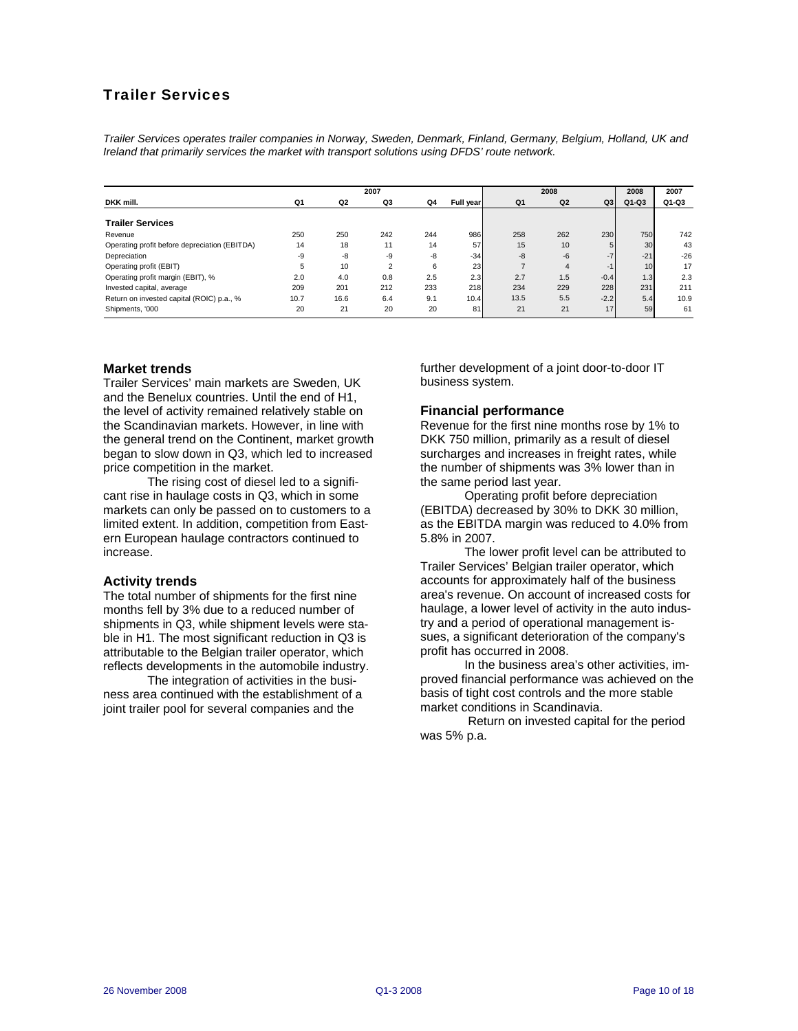# Trailer Services

*Trailer Services operates trailer companies in Norway, Sweden, Denmark, Finland, Germany, Belgium, Holland, UK and Ireland that primarily services the market with transport solutions using DFDS' route network.* 

| 2007                                          |      |      |                | 2008 |                  | 2008 | 2007           |        |         |       |
|-----------------------------------------------|------|------|----------------|------|------------------|------|----------------|--------|---------|-------|
| DKK mill.                                     | Q1   | Q2   | Q3             | Q4   | Full year        | Q1   | Q <sub>2</sub> | Q3     | $Q1-Q3$ | Q1-Q3 |
| <b>Trailer Services</b>                       |      |      |                |      |                  |      |                |        |         |       |
| Revenue                                       | 250  | 250  | 242            | 244  | 986              | 258  | 262            | 230    | 750     | 742   |
| Operating profit before depreciation (EBITDA) | 14   | 18   | 11             | 14   | 57               | 15   | 10             |        | 30      | 43    |
| Depreciation                                  | -9   | $-8$ | -9             | -8   | $-34$            | -8   | $-6$           | $-7$   | $-21$   | $-26$ |
| Operating profit (EBIT)                       | 5    | 10   | $\overline{2}$ | 6    | 23               |      | $\overline{4}$ | -1     | 10      | 17    |
| Operating profit margin (EBIT), %             | 2.0  | 4.0  | 0.8            | 2.5  | 2.3 <sub>l</sub> | 2.7  | 1.5            | $-0.4$ | 1.3     | 2.3   |
| Invested capital, average                     | 209  | 201  | 212            | 233  | 218              | 234  | 229            | 228    | 231     | 211   |
| Return on invested capital (ROIC) p.a., %     | 10.7 | 16.6 | 6.4            | 9.1  | 10.4             | 13.5 | 5.5            | $-2.2$ | 5.4     | 10.9  |
| Shipments, '000                               | 20   | 21   | 20             | 20   | 81               | 21   | 21             | 17     | 59      | 61    |

#### **Market trends**

Trailer Services' main markets are Sweden, UK and the Benelux countries. Until the end of H1, the level of activity remained relatively stable on the Scandinavian markets. However, in line with the general trend on the Continent, market growth began to slow down in Q3, which led to increased price competition in the market.

The rising cost of diesel led to a significant rise in haulage costs in Q3, which in some markets can only be passed on to customers to a limited extent. In addition, competition from Eastern European haulage contractors continued to increase.

#### **Activity trends**

The total number of shipments for the first nine months fell by 3% due to a reduced number of shipments in Q3, while shipment levels were stable in H1. The most significant reduction in Q3 is attributable to the Belgian trailer operator, which reflects developments in the automobile industry.

The integration of activities in the business area continued with the establishment of a joint trailer pool for several companies and the

further development of a joint door-to-door IT business system.

## **Financial performance**

Revenue for the first nine months rose by 1% to DKK 750 million, primarily as a result of diesel surcharges and increases in freight rates, while the number of shipments was 3% lower than in the same period last year.

Operating profit before depreciation (EBITDA) decreased by 30% to DKK 30 million, as the EBITDA margin was reduced to 4.0% from 5.8% in 2007.

The lower profit level can be attributed to Trailer Services' Belgian trailer operator, which accounts for approximately half of the business area's revenue. On account of increased costs for haulage, a lower level of activity in the auto industry and a period of operational management issues, a significant deterioration of the company's profit has occurred in 2008.

In the business area's other activities, improved financial performance was achieved on the basis of tight cost controls and the more stable market conditions in Scandinavia.

 Return on invested capital for the period was 5% p.a.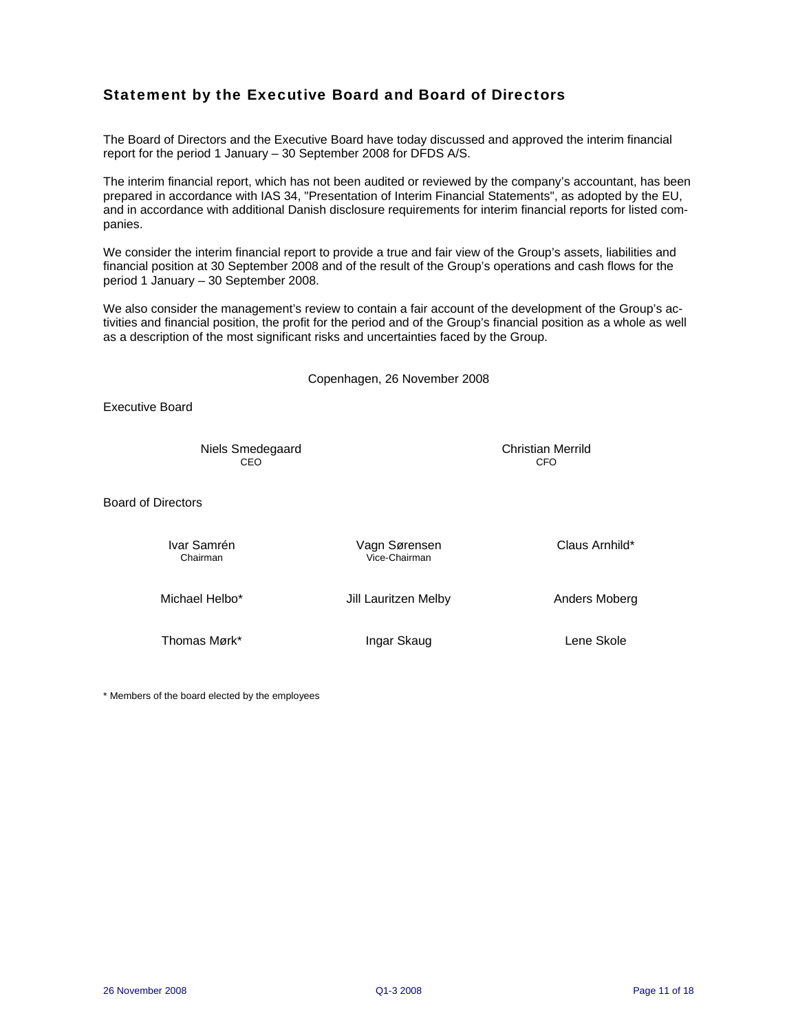# Statement by the Executive Board and Board of Directors

The Board of Directors and the Executive Board have today discussed and approved the interim financial report for the period 1 January – 30 September 2008 for DFDS A/S.

The interim financial report, which has not been audited or reviewed by the company's accountant, has been prepared in accordance with IAS 34, "Presentation of Interim Financial Statements", as adopted by the EU, and in accordance with additional Danish disclosure requirements for interim financial reports for listed companies.

We consider the interim financial report to provide a true and fair view of the Group's assets, liabilities and financial position at 30 September 2008 and of the result of the Group's operations and cash flows for the period 1 January – 30 September 2008.

We also consider the management's review to contain a fair account of the development of the Group's activities and financial position, the profit for the period and of the Group's financial position as a whole as well as a description of the most significant risks and uncertainties faced by the Group.

Copenhagen, 26 November 2008

Executive Board

Niels Smedegaard Christian Merrild<br>CEO CEO CEO CEO CFO

Board of Directors

| Ivar Samrén<br>Chairman | Vagn Sørensen<br>Vice-Chairman | Claus Arnhild* |
|-------------------------|--------------------------------|----------------|
| Michael Helbo*          | Jill Lauritzen Melby           | Anders Moberg  |
| Thomas Mørk*            | Ingar Skaug                    | Lene Skole     |

\* Members of the board elected by the employees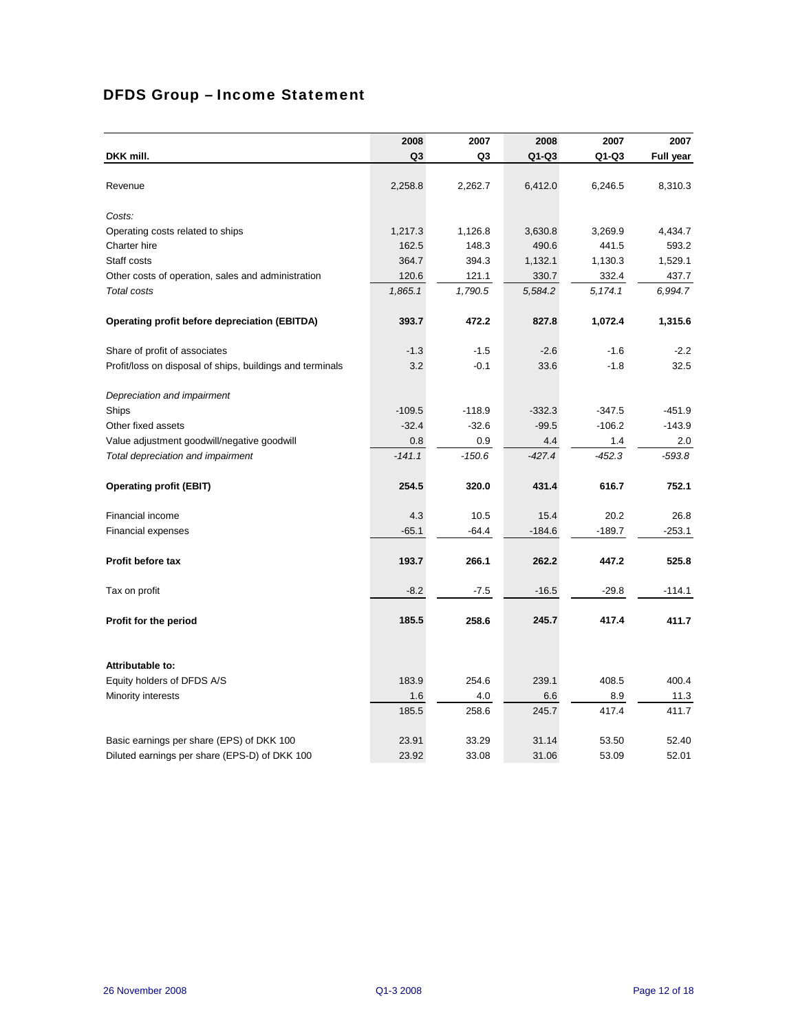# DFDS Group – Income Statement

|                                                           | 2008     | 2007     | 2008     | 2007     | 2007             |
|-----------------------------------------------------------|----------|----------|----------|----------|------------------|
| DKK mill.                                                 | Q3       | Q3       | Q1-Q3    | Q1-Q3    | <b>Full year</b> |
|                                                           |          |          |          |          |                  |
| Revenue                                                   | 2,258.8  | 2,262.7  | 6,412.0  | 6,246.5  | 8,310.3          |
|                                                           |          |          |          |          |                  |
| Costs:                                                    |          |          |          |          |                  |
| Operating costs related to ships                          | 1,217.3  | 1,126.8  | 3,630.8  | 3,269.9  | 4,434.7          |
| Charter hire                                              | 162.5    | 148.3    | 490.6    | 441.5    | 593.2            |
| Staff costs                                               | 364.7    | 394.3    | 1,132.1  | 1,130.3  | 1,529.1          |
| Other costs of operation, sales and administration        | 120.6    | 121.1    | 330.7    | 332.4    | 437.7            |
| Total costs                                               | 1,865.1  | 1,790.5  | 5,584.2  | 5, 174.1 | 6,994.7          |
| Operating profit before depreciation (EBITDA)             | 393.7    | 472.2    | 827.8    | 1,072.4  | 1,315.6          |
| Share of profit of associates                             | $-1.3$   | $-1.5$   | $-2.6$   | $-1.6$   | $-2.2$           |
| Profit/loss on disposal of ships, buildings and terminals | 3.2      | $-0.1$   | 33.6     | $-1.8$   | 32.5             |
| Depreciation and impairment                               |          |          |          |          |                  |
| Ships                                                     | $-109.5$ | $-118.9$ | $-332.3$ | $-347.5$ | $-451.9$         |
| Other fixed assets                                        | $-32.4$  | $-32.6$  | $-99.5$  | $-106.2$ | $-143.9$         |
| Value adjustment goodwill/negative goodwill               | 0.8      | 0.9      | 4.4      | 1.4      | 2.0              |
| Total depreciation and impairment                         | $-141.1$ | $-150.6$ | $-427.4$ | -452.3   | $-593.8$         |
| <b>Operating profit (EBIT)</b>                            | 254.5    | 320.0    | 431.4    | 616.7    | 752.1            |
| Financial income                                          | 4.3      | 10.5     | 15.4     | 20.2     | 26.8             |
| <b>Financial expenses</b>                                 | $-65.1$  | $-64.4$  | $-184.6$ | $-189.7$ | $-253.1$         |
| <b>Profit before tax</b>                                  | 193.7    | 266.1    | 262.2    | 447.2    | 525.8            |
| Tax on profit                                             | $-8.2$   | $-7.5$   | $-16.5$  | $-29.8$  | $-114.1$         |
| Profit for the period                                     | 185.5    | 258.6    | 245.7    | 417.4    | 411.7            |
|                                                           |          |          |          |          |                  |
| Attributable to:                                          |          |          |          |          |                  |
| Equity holders of DFDS A/S                                | 183.9    | 254.6    | 239.1    | 408.5    | 400.4            |
| Minority interests                                        | 1.6      | 4.0      | 6.6      | 8.9      | 11.3             |
|                                                           | 185.5    | 258.6    | 245.7    | 417.4    | 411.7            |
| Basic earnings per share (EPS) of DKK 100                 | 23.91    | 33.29    | 31.14    | 53.50    | 52.40            |
| Diluted earnings per share (EPS-D) of DKK 100             | 23.92    | 33.08    | 31.06    | 53.09    | 52.01            |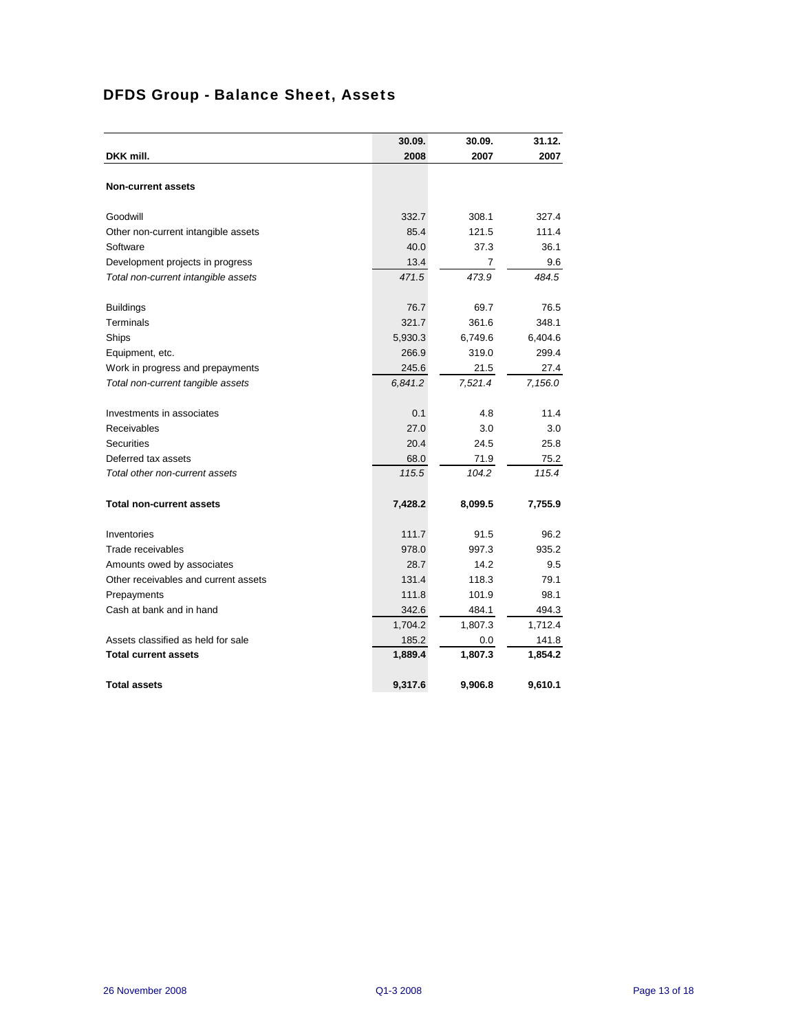# DFDS Group - Balance Sheet, Assets

|                                      | 30.09.  | 30.09.  | 31.12.  |
|--------------------------------------|---------|---------|---------|
| DKK mill.                            | 2008    | 2007    | 2007    |
| <b>Non-current assets</b>            |         |         |         |
|                                      |         |         |         |
| Goodwill                             | 332.7   | 308.1   | 327.4   |
| Other non-current intangible assets  | 85.4    | 121.5   | 111.4   |
| Software                             | 40.0    | 37.3    | 36.1    |
| Development projects in progress     | 13.4    | 7       | 9.6     |
| Total non-current intangible assets  | 471.5   | 473.9   | 484.5   |
| <b>Buildings</b>                     | 76.7    | 69.7    | 76.5    |
| Terminals                            | 321.7   | 361.6   | 348.1   |
| Ships                                | 5,930.3 | 6,749.6 | 6,404.6 |
| Equipment, etc.                      | 266.9   | 319.0   | 299.4   |
| Work in progress and prepayments     | 245.6   | 21.5    | 27.4    |
| Total non-current tangible assets    | 6,841.2 | 7,521.4 | 7,156.0 |
| Investments in associates            | 0.1     | 4.8     | 11.4    |
| Receivables                          | 27.0    | 3.0     | 3.0     |
| <b>Securities</b>                    | 20.4    | 24.5    | 25.8    |
| Deferred tax assets                  | 68.0    | 71.9    | 75.2    |
| Total other non-current assets       | 115.5   | 104.2   | 115.4   |
| <b>Total non-current assets</b>      | 7,428.2 | 8,099.5 | 7,755.9 |
| Inventories                          | 111.7   | 91.5    | 96.2    |
| Trade receivables                    | 978.0   | 997.3   | 935.2   |
| Amounts owed by associates           | 28.7    | 14.2    | 9.5     |
| Other receivables and current assets | 131.4   | 118.3   | 79.1    |
| Prepayments                          | 111.8   | 101.9   | 98.1    |
| Cash at bank and in hand             | 342.6   | 484.1   | 494.3   |
|                                      | 1,704.2 | 1,807.3 | 1,712.4 |
| Assets classified as held for sale   | 185.2   | 0.0     | 141.8   |
| <b>Total current assets</b>          | 1,889.4 | 1,807.3 | 1,854.2 |
| <b>Total assets</b>                  | 9,317.6 | 9,906.8 | 9,610.1 |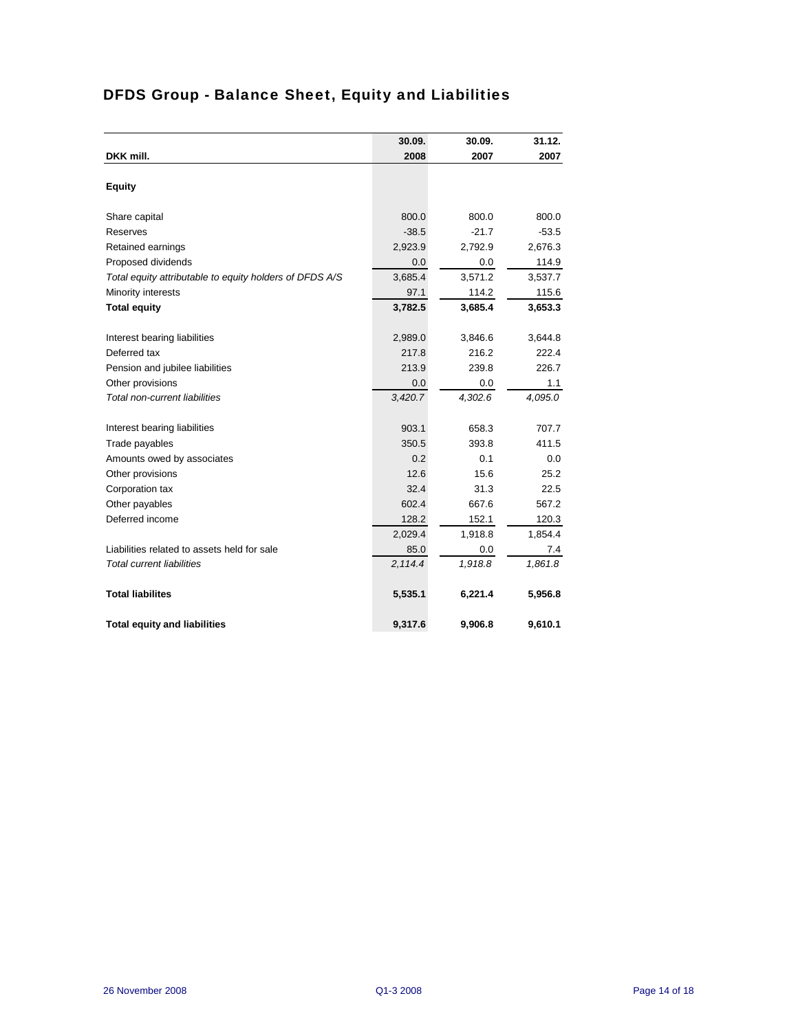|                                                         | 30.09.  | 30.09.  | 31.12.  |
|---------------------------------------------------------|---------|---------|---------|
| DKK mill.                                               | 2008    | 2007    | 2007    |
|                                                         |         |         |         |
| <b>Equity</b>                                           |         |         |         |
| Share capital                                           | 800.0   | 800.0   | 800.0   |
| Reserves                                                | $-38.5$ | $-21.7$ | $-53.5$ |
| Retained earnings                                       | 2,923.9 | 2,792.9 | 2,676.3 |
| Proposed dividends                                      | 0.0     | 0.0     | 114.9   |
| Total equity attributable to equity holders of DFDS A/S | 3,685.4 | 3,571.2 | 3,537.7 |
| Minority interests                                      | 97.1    | 114.2   | 115.6   |
| <b>Total equity</b>                                     | 3,782.5 | 3,685.4 | 3,653.3 |
| Interest bearing liabilities                            | 2,989.0 | 3,846.6 | 3,644.8 |
| Deferred tax                                            | 217.8   | 216.2   | 222.4   |
| Pension and jubilee liabilities                         | 213.9   | 239.8   | 226.7   |
| Other provisions                                        | 0.0     | 0.0     | 1.1     |
| Total non-current liabilities                           | 3,420.7 | 4,302.6 | 4,095.0 |
|                                                         |         |         |         |
| Interest bearing liabilities                            | 903.1   | 658.3   | 707.7   |
| Trade payables                                          | 350.5   | 393.8   | 411.5   |
| Amounts owed by associates                              | 0.2     | 0.1     | 0.0     |
| Other provisions                                        | 12.6    | 15.6    | 25.2    |
| Corporation tax                                         | 32.4    | 31.3    | 22.5    |
| Other payables                                          | 602.4   | 667.6   | 567.2   |
| Deferred income                                         | 128.2   | 152.1   | 120.3   |
|                                                         | 2,029.4 | 1,918.8 | 1,854.4 |
| Liabilities related to assets held for sale             | 85.0    | 0.0     | 7.4     |
| Total current liabilities                               | 2,114.4 | 1,918.8 | 1,861.8 |
| <b>Total liabilites</b>                                 | 5,535.1 | 6,221.4 | 5,956.8 |
| <b>Total equity and liabilities</b>                     | 9,317.6 | 9,906.8 | 9,610.1 |

# DFDS Group - Balance Sheet, Equity and Liabilities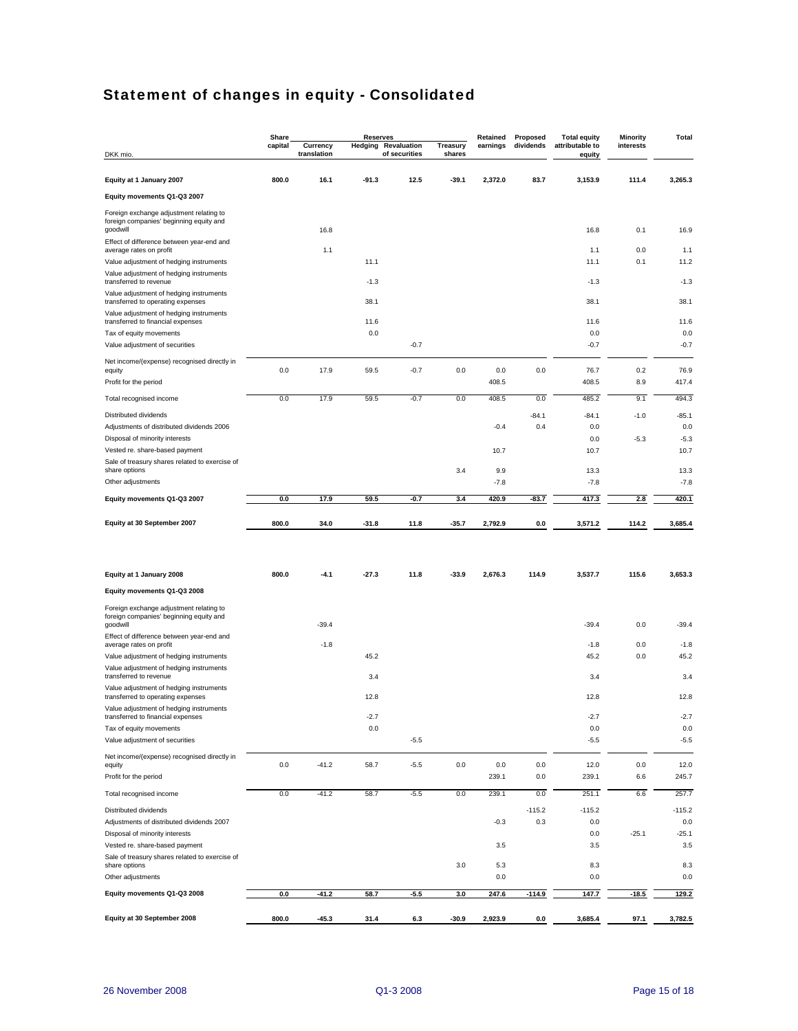# Statement of changes in equity - Consolidated

|                                                                                    | Share   |                         | <b>Reserves</b> |                                             |                           | Retained     | Proposed       | <b>Total equity</b>       | <b>Minority</b> | Total          |
|------------------------------------------------------------------------------------|---------|-------------------------|-----------------|---------------------------------------------|---------------------------|--------------|----------------|---------------------------|-----------------|----------------|
| DKK mio.                                                                           | capital | Currency<br>translation |                 | <b>Hedging Revaluation</b><br>of securities | <b>Treasury</b><br>shares | earnings     | dividends      | attributable to<br>equity | interests       |                |
| Equity at 1 January 2007                                                           | 800.0   | 16.1                    | $-91.3$         | 12.5                                        | $-39.1$                   | 2,372.0      | 83.7           | 3,153.9                   | 111.4           | 3,265.3        |
| Equity movements Q1-Q3 2007                                                        |         |                         |                 |                                             |                           |              |                |                           |                 |                |
| Foreign exchange adjustment relating to<br>foreign companies' beginning equity and |         |                         |                 |                                             |                           |              |                |                           |                 |                |
| goodwill<br>Effect of difference between year-end and                              |         | 16.8                    |                 |                                             |                           |              |                | 16.8                      | 0.1             | 16.9           |
| average rates on profit                                                            |         | 1.1                     |                 |                                             |                           |              |                | 1.1                       | 0.0             | 1.1            |
| Value adjustment of hedging instruments                                            |         |                         | 11.1            |                                             |                           |              |                | 11.1                      | 0.1             | 11.2           |
| Value adjustment of hedging instruments<br>transferred to revenue                  |         |                         | $-1.3$          |                                             |                           |              |                | $-1.3$                    |                 | $-1.3$         |
| Value adjustment of hedging instruments<br>transferred to operating expenses       |         |                         | 38.1            |                                             |                           |              |                | 38.1                      |                 | 38.1           |
| Value adjustment of hedging instruments<br>transferred to financial expenses       |         |                         | 11.6            |                                             |                           |              |                | 11.6                      |                 | 11.6           |
| Tax of equity movements                                                            |         |                         | 0.0             |                                             |                           |              |                | 0.0                       |                 | 0.0            |
| Value adjustment of securities                                                     |         |                         |                 | $-0.7$                                      |                           |              |                | $-0.7$                    |                 | $-0.7$         |
| Net income/(expense) recognised directly in                                        |         |                         |                 |                                             |                           |              |                |                           |                 |                |
| equity<br>Profit for the period                                                    | 0.0     | 17.9                    | 59.5            | $-0.7$                                      | 0.0                       | 0.0<br>408.5 | 0.0            | 76.7<br>408.5             | 0.2<br>8.9      | 76.9<br>417.4  |
| Total recognised income                                                            | 0.0     | 17.9                    | 59.5            | $-0.7$                                      | 0.0                       | 408.5        | 0.0            | 485.2                     | 9.1             | 494.3          |
|                                                                                    |         |                         |                 |                                             |                           |              |                |                           |                 |                |
| Distributed dividends<br>Adjustments of distributed dividends 2006                 |         |                         |                 |                                             |                           | $-0.4$       | $-84.1$<br>0.4 | $-84.1$<br>0.0            | $-1.0$          | $-85.1$<br>0.0 |
| Disposal of minority interests                                                     |         |                         |                 |                                             |                           |              |                | 0.0                       | $-5.3$          | $-5.3$         |
| Vested re. share-based payment                                                     |         |                         |                 |                                             |                           | 10.7         |                | 10.7                      |                 | 10.7           |
| Sale of treasury shares related to exercise of<br>share options                    |         |                         |                 |                                             | 3.4                       | 9.9          |                | 13.3                      |                 | 13.3           |
| Other adjustments                                                                  |         |                         |                 |                                             |                           | $-7.8$       |                | $-7.8$                    |                 | $-7.8$         |
| Equity movements Q1-Q3 2007                                                        | 0.0     | 17.9                    | 59.5            | -0.7                                        | 3.4                       | 420.9        | -83.7          | 417.3                     | 2.8             | 420.1          |
|                                                                                    |         |                         |                 |                                             |                           |              |                |                           |                 |                |
| Equity at 30 September 2007                                                        | 800.0   | 34.0                    | $-31.8$         | 11.8                                        | $-35.7$                   | 2,792.9      | 0.0            | 3,571.2                   | 114.2           | 3,685.4        |
|                                                                                    |         |                         |                 |                                             |                           |              |                |                           |                 |                |
|                                                                                    |         |                         |                 |                                             |                           |              |                |                           |                 |                |
| Equity at 1 January 2008                                                           | 800.0   | $-4.1$                  | $-27.3$         | 11.8                                        | $-33.9$                   | 2,676.3      | 114.9          | 3,537.7                   | 115.6           | 3,653.3        |
| Equity movements Q1-Q3 2008                                                        |         |                         |                 |                                             |                           |              |                |                           |                 |                |
| Foreign exchange adjustment relating to<br>foreign companies' beginning equity and |         |                         |                 |                                             |                           |              |                |                           |                 |                |
| goodwill                                                                           |         | $-39.4$                 |                 |                                             |                           |              |                | $-39.4$                   | 0.0             | $-39.4$        |
| Effect of difference between year-end and<br>average rates on profit               |         | $-1.8$                  |                 |                                             |                           |              |                | $-1.8$                    | 0.0             | $-1.8$         |
| Value adjustment of hedging instruments                                            |         |                         | 45.2            |                                             |                           |              |                | 45.2                      | 0.0             | 45.2           |
| Value adjustment of hedging instruments<br>transferred to revenue                  |         |                         | 3.4             |                                             |                           |              |                | 3.4                       |                 | 3.4            |
| Value adjustment of hedging instruments<br>transferred to operating expenses       |         |                         | 12.8            |                                             |                           |              |                | 12.8                      |                 | 12.8           |
| Value adjustment of hedging instruments                                            |         |                         | $-2.7$          |                                             |                           |              |                | $-2.7$                    |                 | $-2.7$         |
| transferred to financial expenses<br>Tax of equity movements                       |         |                         | $0.0\,$         |                                             |                           |              |                | 0.0                       |                 | 0.0            |
| Value adjustment of securities                                                     |         |                         |                 | $-5.5$                                      |                           |              |                | $-5.5$                    |                 | $-5.5$         |
| Net income/(expense) recognised directly in                                        |         |                         |                 |                                             |                           |              |                |                           |                 |                |
| equity<br>Profit for the period                                                    | $0.0\,$ | $-41.2$                 | 58.7            | $-5.5$                                      | 0.0                       | 0.0          | 0.0            | 12.0                      | 0.0             | 12.0           |
|                                                                                    |         |                         |                 |                                             |                           | 239.1        | 0.0            | 239.1                     | 6.6             | 245.7          |
| Total recognised income                                                            | 0.0     | $-41.2$                 | 58.7            | $-5.5$                                      | 0.0                       | 239.1        | 0.0            | 251.1                     | 6.6             | 257.7          |
| Distributed dividends                                                              |         |                         |                 |                                             |                           |              | $-115.2$       | $-115.2$                  |                 | $-115.2$       |
| Adjustments of distributed dividends 2007<br>Disposal of minority interests        |         |                         |                 |                                             |                           | $-0.3$       | 0.3            | 0.0<br>0.0                | $-25.1$         | 0.0<br>$-25.1$ |
| Vested re. share-based payment                                                     |         |                         |                 |                                             |                           | 3.5          |                | 3.5                       |                 | 3.5            |
| Sale of treasury shares related to exercise of                                     |         |                         |                 |                                             |                           |              |                |                           |                 |                |
| share options<br>Other adjustments                                                 |         |                         |                 |                                             | 3.0                       | 5.3<br>0.0   |                | 8.3<br>0.0                |                 | 8.3<br>0.0     |
|                                                                                    | 0.0     | $-41.2$                 | 58.7            | $-5.5$                                      | 3.0                       |              |                | 147.7                     |                 |                |
| Equity movements Q1-Q3 2008                                                        |         |                         |                 |                                             |                           | 247.6        | $-114.9$       |                           | $-18.5$         | 129.2          |
| Equity at 30 September 2008                                                        | 800.0   | $-45.3$                 | 31.4            | 6.3                                         | $-30.9$                   | 2,923.9      | 0.0            | 3,685.4                   | 97.1            | 3,782.5        |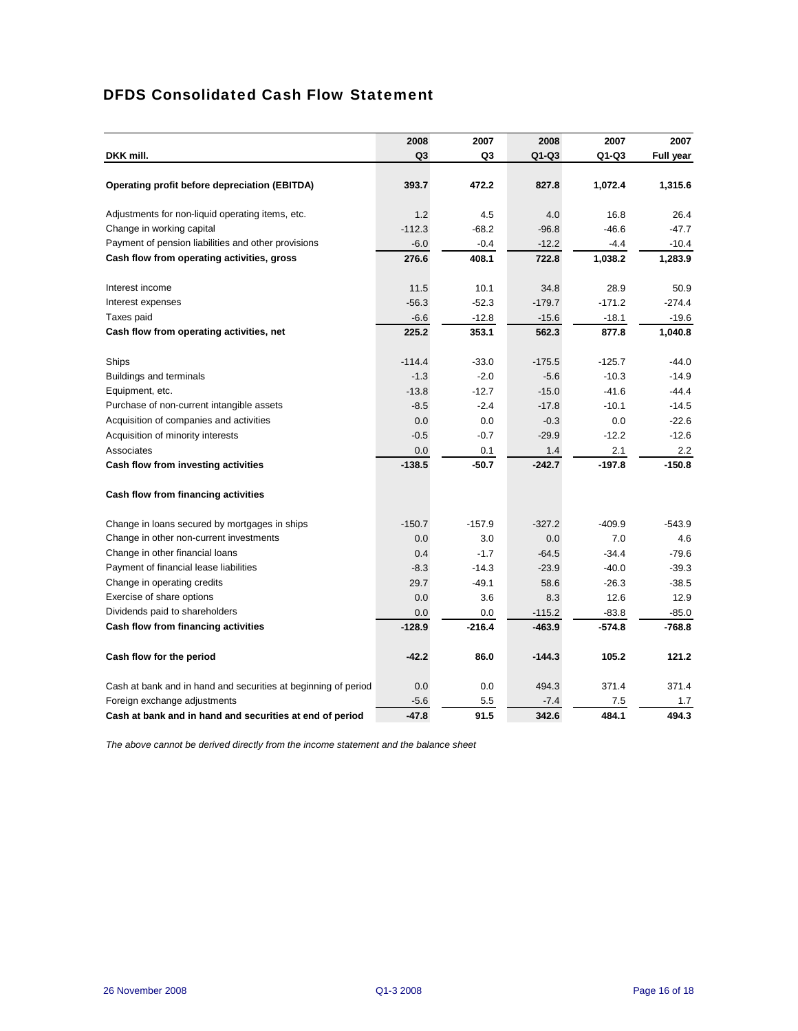# DFDS Consolidated Cash Flow Statement

|                                                                | 2008           | 2007     | 2008     | 2007     | 2007      |
|----------------------------------------------------------------|----------------|----------|----------|----------|-----------|
| DKK mill.                                                      | Q <sub>3</sub> | Q3       | $Q1-Q3$  | $Q1-Q3$  | Full year |
|                                                                |                |          |          |          |           |
| Operating profit before depreciation (EBITDA)                  | 393.7          | 472.2    | 827.8    | 1,072.4  | 1,315.6   |
| Adjustments for non-liquid operating items, etc.               | 1.2            | 4.5      | 4.0      | 16.8     | 26.4      |
| Change in working capital                                      | $-112.3$       | $-68.2$  | $-96.8$  | $-46.6$  | $-47.7$   |
| Payment of pension liabilities and other provisions            | $-6.0$         | $-0.4$   | $-12.2$  | $-4.4$   | $-10.4$   |
| Cash flow from operating activities, gross                     | 276.6          | 408.1    | 722.8    | 1,038.2  | 1,283.9   |
| Interest income                                                | 11.5           | 10.1     | 34.8     | 28.9     | 50.9      |
| Interest expenses                                              | $-56.3$        | $-52.3$  | $-179.7$ | $-171.2$ | $-274.4$  |
| Taxes paid                                                     | $-6.6$         | $-12.8$  | $-15.6$  | $-18.1$  | $-19.6$   |
| Cash flow from operating activities, net                       | 225.2          | 353.1    | 562.3    | 877.8    | 1,040.8   |
| Ships                                                          | $-114.4$       | $-33.0$  | $-175.5$ | $-125.7$ | $-44.0$   |
| <b>Buildings and terminals</b>                                 | $-1.3$         | $-2.0$   | $-5.6$   | $-10.3$  | $-14.9$   |
| Equipment, etc.                                                | $-13.8$        | $-12.7$  | $-15.0$  | $-41.6$  | $-44.4$   |
| Purchase of non-current intangible assets                      | $-8.5$         | $-2.4$   | $-17.8$  | $-10.1$  | $-14.5$   |
| Acquisition of companies and activities                        | 0.0            | 0.0      | $-0.3$   | 0.0      | $-22.6$   |
| Acquisition of minority interests                              | $-0.5$         | $-0.7$   | $-29.9$  | $-12.2$  | $-12.6$   |
| Associates                                                     | 0.0            | 0.1      | 1.4      | 2.1      | 2.2       |
| Cash flow from investing activities                            | $-138.5$       | $-50.7$  | $-242.7$ | $-197.8$ | $-150.8$  |
| Cash flow from financing activities                            |                |          |          |          |           |
| Change in loans secured by mortgages in ships                  | $-150.7$       | $-157.9$ | $-327.2$ | $-409.9$ | $-543.9$  |
| Change in other non-current investments                        | 0.0            | 3.0      | 0.0      | 7.0      | 4.6       |
| Change in other financial loans                                | 0.4            | $-1.7$   | $-64.5$  | $-34.4$  | $-79.6$   |
| Payment of financial lease liabilities                         | $-8.3$         | $-14.3$  | $-23.9$  | $-40.0$  | $-39.3$   |
| Change in operating credits                                    | 29.7           | $-49.1$  | 58.6     | $-26.3$  | $-38.5$   |
| Exercise of share options                                      | 0.0            | 3.6      | 8.3      | 12.6     | 12.9      |
| Dividends paid to shareholders                                 | 0.0            | 0.0      | $-115.2$ | $-83.8$  | $-85.0$   |
| Cash flow from financing activities                            | $-128.9$       | $-216.4$ | -463.9   | $-574.8$ | $-768.8$  |
| Cash flow for the period                                       | $-42.2$        | 86.0     | $-144.3$ | 105.2    | 121.2     |
| Cash at bank and in hand and securities at beginning of period | 0.0            | 0.0      | 494.3    | 371.4    | 371.4     |
| Foreign exchange adjustments                                   | $-5.6$         | 5.5      | $-7.4$   | 7.5      | 1.7       |
| Cash at bank and in hand and securities at end of period       | $-47.8$        | 91.5     | 342.6    | 484.1    | 494.3     |

*The above cannot be derived directly from the income statement and the balance sheet*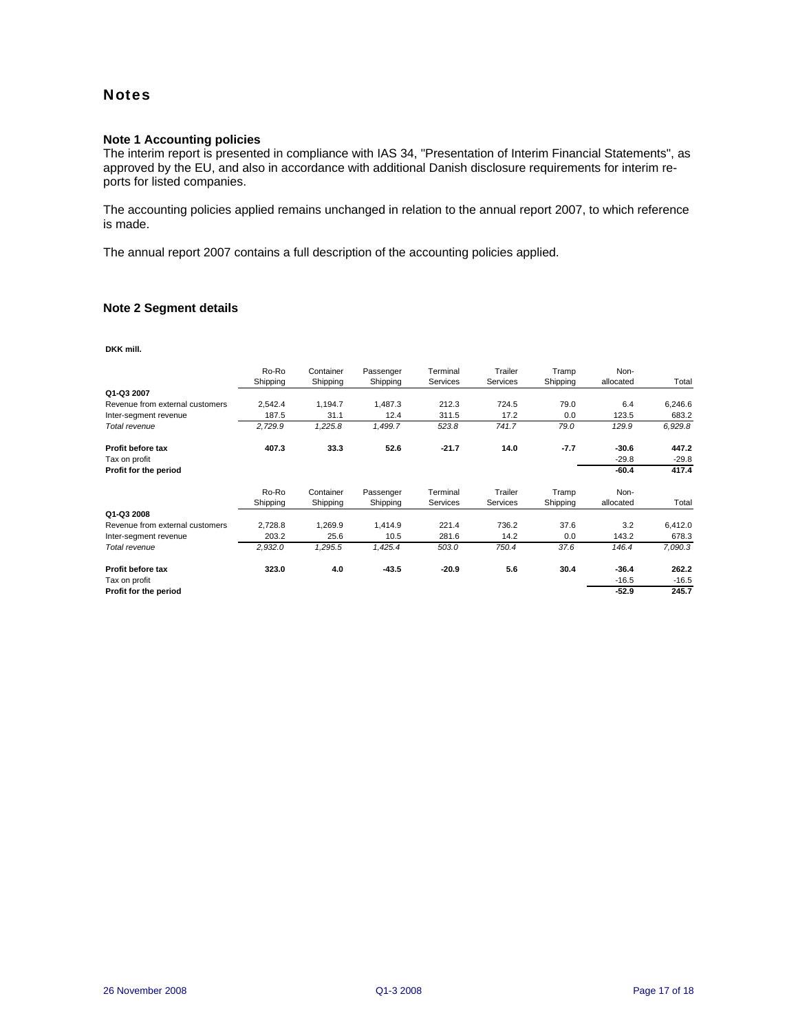## **Notes**

## **Note 1 Accounting policies**

The interim report is presented in compliance with IAS 34, "Presentation of Interim Financial Statements", as approved by the EU, and also in accordance with additional Danish disclosure requirements for interim reports for listed companies.

The accounting policies applied remains unchanged in relation to the annual report 2007, to which reference is made.

The annual report 2007 contains a full description of the accounting policies applied.

### **Note 2 Segment details**

**DKK mill.**

|                                 | Ro-Ro<br>Shipping | Container<br>Shipping | Passenger<br>Shipping | Terminal<br>Services | Trailer<br>Services | Tramp<br>Shipping | Non-<br>allocated | Total   |
|---------------------------------|-------------------|-----------------------|-----------------------|----------------------|---------------------|-------------------|-------------------|---------|
| Q1-Q3 2007                      |                   |                       |                       |                      |                     |                   |                   |         |
| Revenue from external customers | 2,542.4           | 1,194.7               | 1,487.3               | 212.3                | 724.5               | 79.0              | 6.4               | 6,246.6 |
| Inter-segment revenue           | 187.5             | 31.1                  | 12.4                  | 311.5                | 17.2                | 0.0               | 123.5             | 683.2   |
| Total revenue                   | 2,729.9           | 1,225.8               | 1,499.7               | 523.8                | 741.7               | 79.0              | 129.9             | 6,929.8 |
| <b>Profit before tax</b>        | 407.3             | 33.3                  | 52.6                  | $-21.7$              | 14.0                | $-7.7$            | $-30.6$           | 447.2   |
| Tax on profit                   |                   |                       |                       |                      |                     |                   | $-29.8$           | $-29.8$ |
| Profit for the period           |                   |                       |                       |                      |                     |                   | $-60.4$           | 417.4   |
|                                 | Ro-Ro             | Container             | Passenger             | Terminal             | Trailer             | Tramp             | Non-              |         |
|                                 | Shipping          | Shipping              | Shipping              | Services             | Services            | Shipping          | allocated         | Total   |
| Q1-Q3 2008                      |                   |                       |                       |                      |                     |                   |                   |         |
| Revenue from external customers | 2,728.8           | 1,269.9               | 1,414.9               | 221.4                | 736.2               | 37.6              | 3.2               | 6,412.0 |
| Inter-segment revenue           | 203.2             | 25.6                  | 10.5                  | 281.6                | 14.2                | 0.0               | 143.2             | 678.3   |
| Total revenue                   | 2,932.0           | 1,295.5               | 1,425.4               | 503.0                | 750.4               | 37.6              | 146.4             | 7,090.3 |
| Profit before tax               | 323.0             | 4.0                   | $-43.5$               | $-20.9$              | 5.6                 | 30.4              | $-36.4$           | 262.2   |
| Tax on profit                   |                   |                       |                       |                      |                     |                   | $-16.5$           | $-16.5$ |
| Profit for the period           |                   |                       |                       |                      |                     |                   | $-52.9$           | 245.7   |